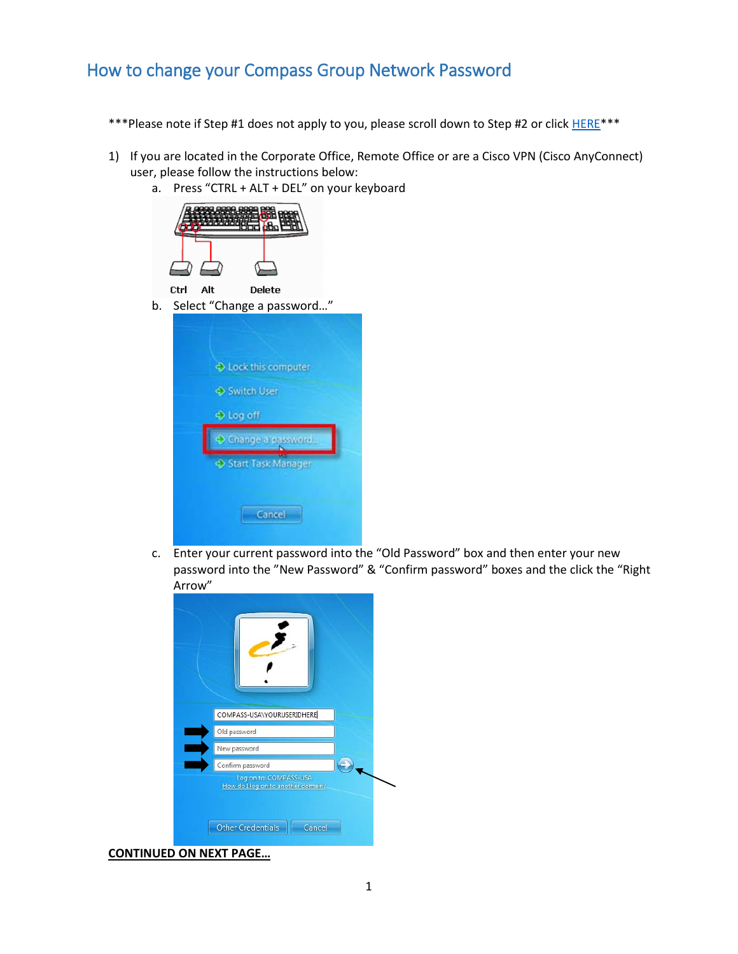## How to change your Compass Group Network Password

- \*\*\*Please note if Step #1 does not apply to you, please scroll down to Step #2 or click **HERE\*\*\***
- 1) If you are located in the Corporate Office, Remote Office or are a Cisco VPN (Cisco AnyConnect) user, please follow the instructions below:
	- a. Press "CTRL + ALT + DEL" on your keyboard



c. Enter your current password into the "Old Password" box and then enter your new password into the "New Password" & "Confirm password" boxes and the click the "Right Arrow"

| COMPASS-USA\YOURUSERIDHERE                                   |
|--------------------------------------------------------------|
| Old password                                                 |
| New password                                                 |
| Confirm password                                             |
| Log on to: COMPASS-USA<br>How do I log on to another domain? |
|                                                              |

**CONTINUED ON NEXT PAGE…**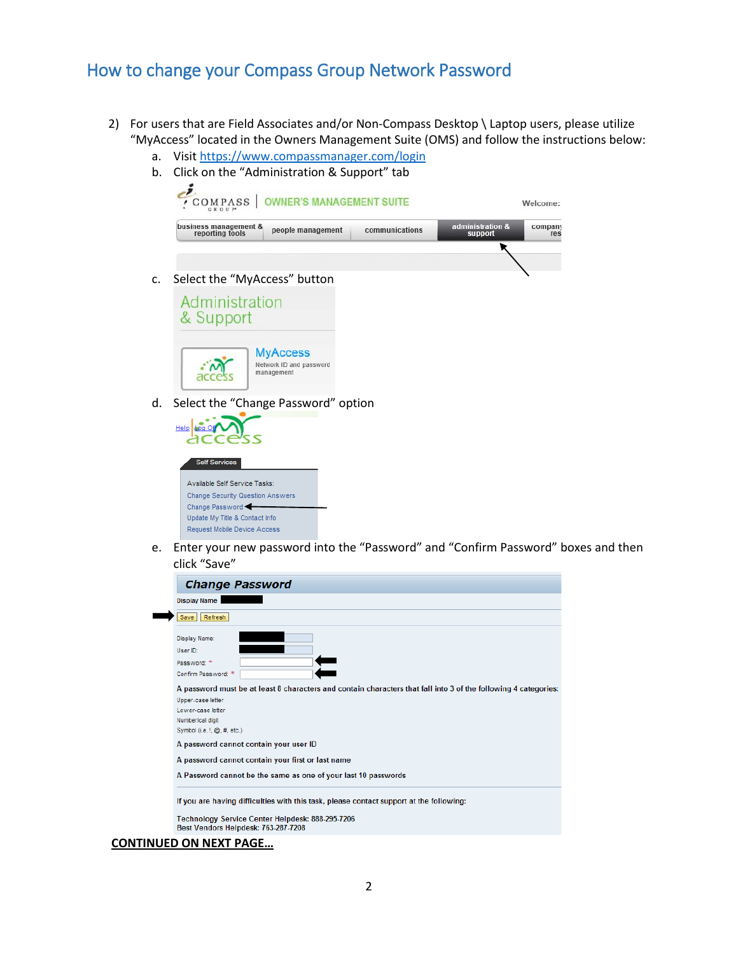### How to change your Compass Group Network Password

- <span id="page-1-0"></span>2) For users that are Field Associates and/or Non-Compass Desktop \ Laptop users, please utilize "MyAccess" located in the Owners Management Suite (OMS) and follow the instructions below:
	- a. Visit<https://www.compassmanager.com/login>



c. Select the "MyAccess" button



**MyAccess** Network ID and password<br>management  $\cdot \sim$ access

d. Select the "Change Password" option



e. Enter your new password into the "Password" and "Confirm Password" boxes and then click "Save"

| Save                        | Refresh                                                                                                         |
|-----------------------------|-----------------------------------------------------------------------------------------------------------------|
| Display Name:               |                                                                                                                 |
| User ID:                    |                                                                                                                 |
| Password: *                 |                                                                                                                 |
| Confirm Password: *         |                                                                                                                 |
|                             | A password must be at least 8 characters and contain characters that fall into 3 of the following 4 categories: |
| Upper-case letter           |                                                                                                                 |
| Lower-case letter           |                                                                                                                 |
| Numberical digit            |                                                                                                                 |
| Symbol (i.e. !, @, #, etc.) |                                                                                                                 |
|                             | A password cannot contain your user ID                                                                          |
|                             | A password cannot contain your first or last name                                                               |
|                             | A Password cannot be the same as one of your last 10 passwords                                                  |
|                             |                                                                                                                 |
|                             | If you are having difficulties with this task, please contact support at the following:                         |

#### **CONTINUED ON NEXT PAGE…**